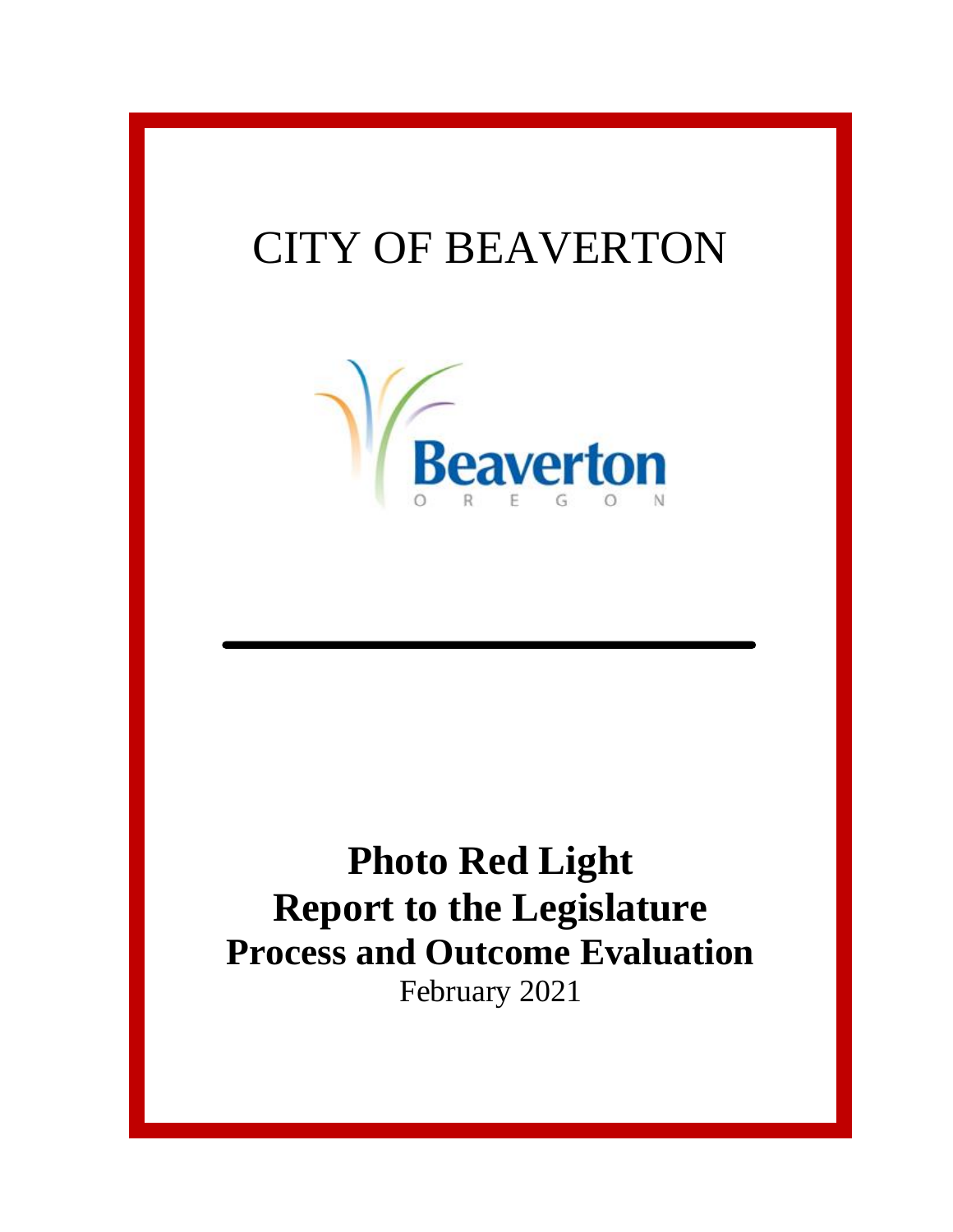## CITY OF BEAVERTON



## **Photo Red Light Report to the Legislature Process and Outcome Evaluation** February 2021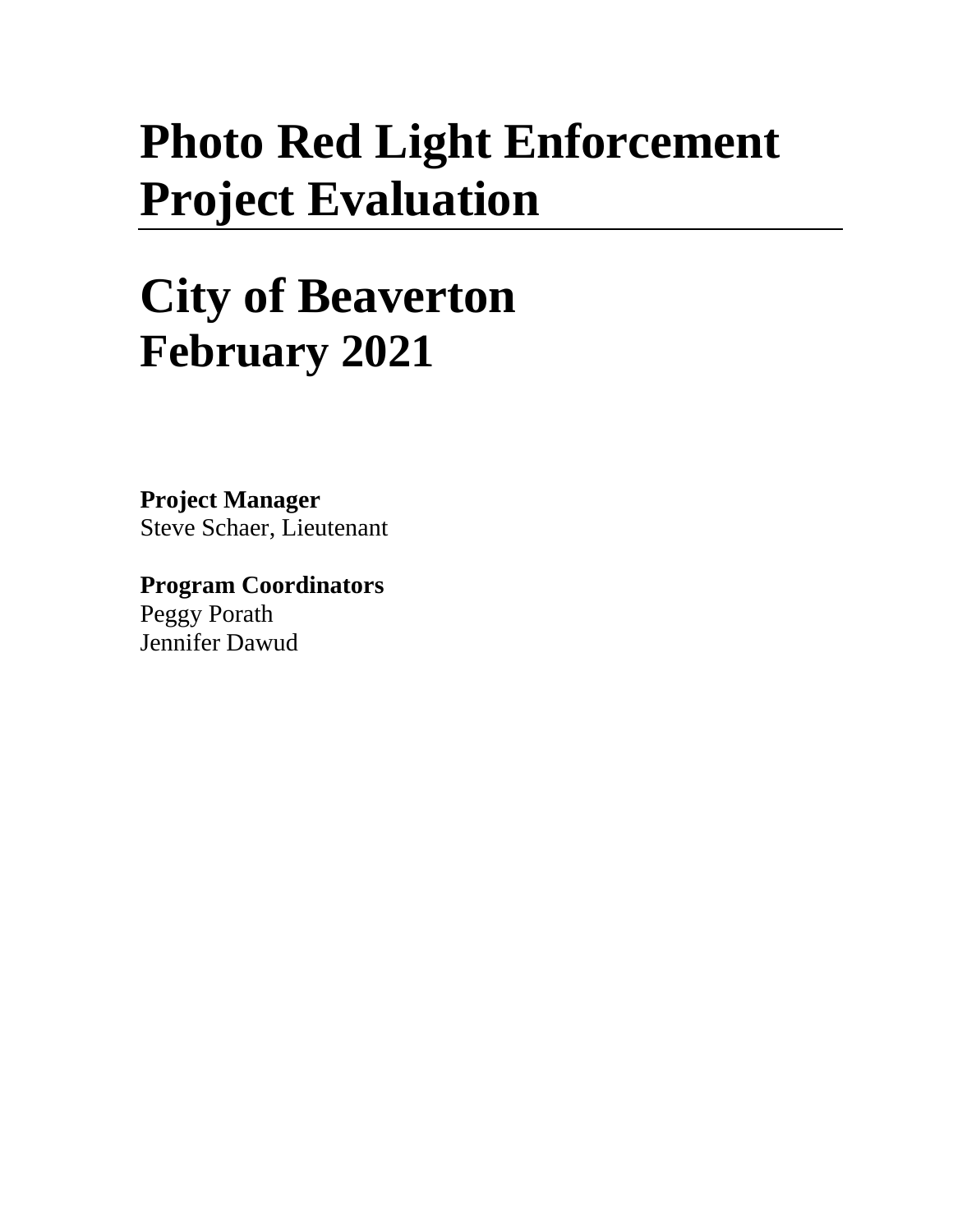# **Photo Red Light Enforcement Project Evaluation**

# **City of Beaverton February 2021**

**Project Manager** Steve Schaer, Lieutenant

**Program Coordinators** Peggy Porath Jennifer Dawud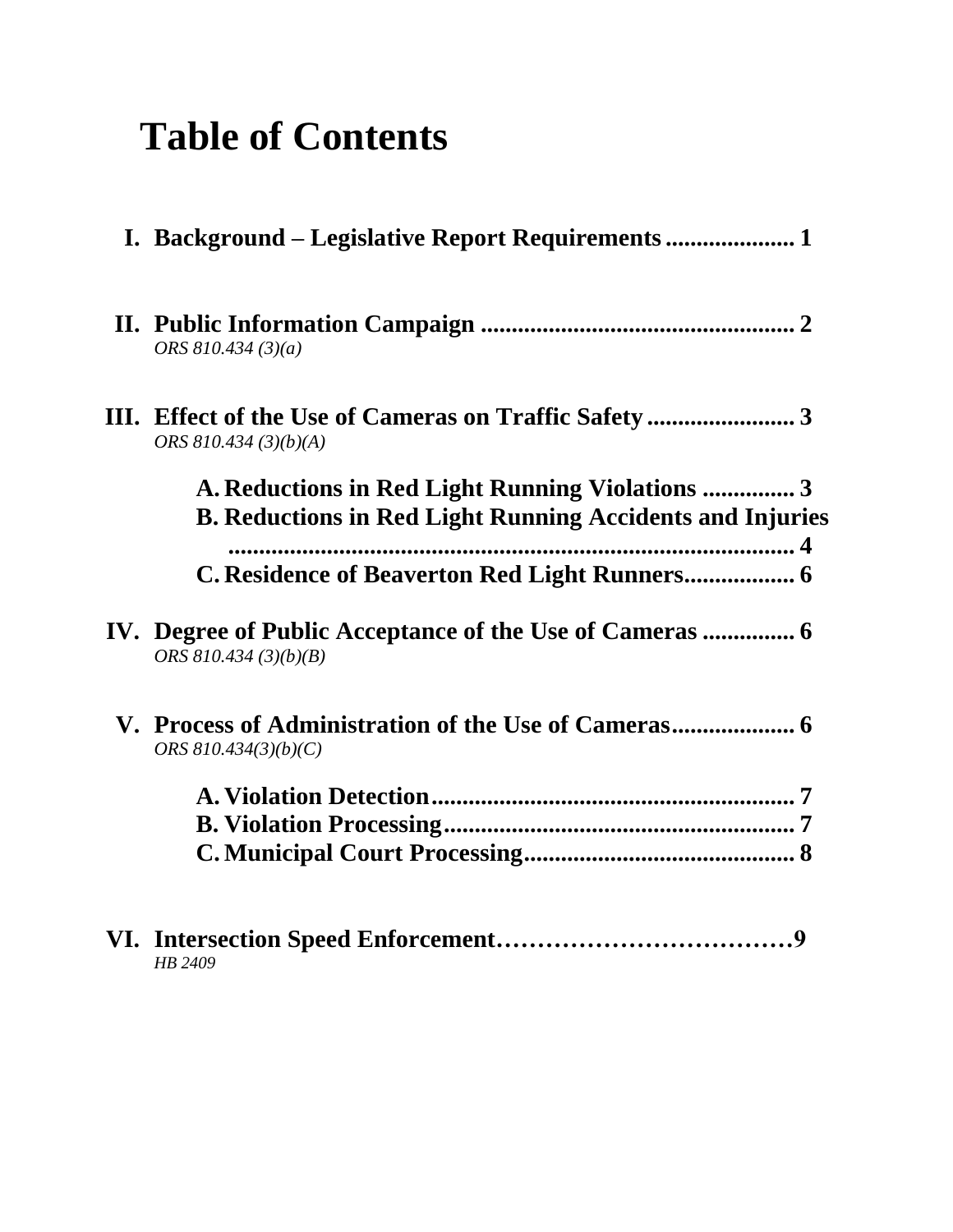## **Table of Contents**

| I. Background – Legislative Report Requirements                                                                     |
|---------------------------------------------------------------------------------------------------------------------|
| ORS $810.434(3)(a)$                                                                                                 |
| ORS 810.434 (3)(b)(A)                                                                                               |
| A. Reductions in Red Light Running Violations 3<br><b>B. Reductions in Red Light Running Accidents and Injuries</b> |
| C. Residence of Beaverton Red Light Runners 6                                                                       |
| ORS $810.434(3)(b)(B)$                                                                                              |
| ORS $810.434(3)(b)(C)$                                                                                              |
|                                                                                                                     |
| HB 2409                                                                                                             |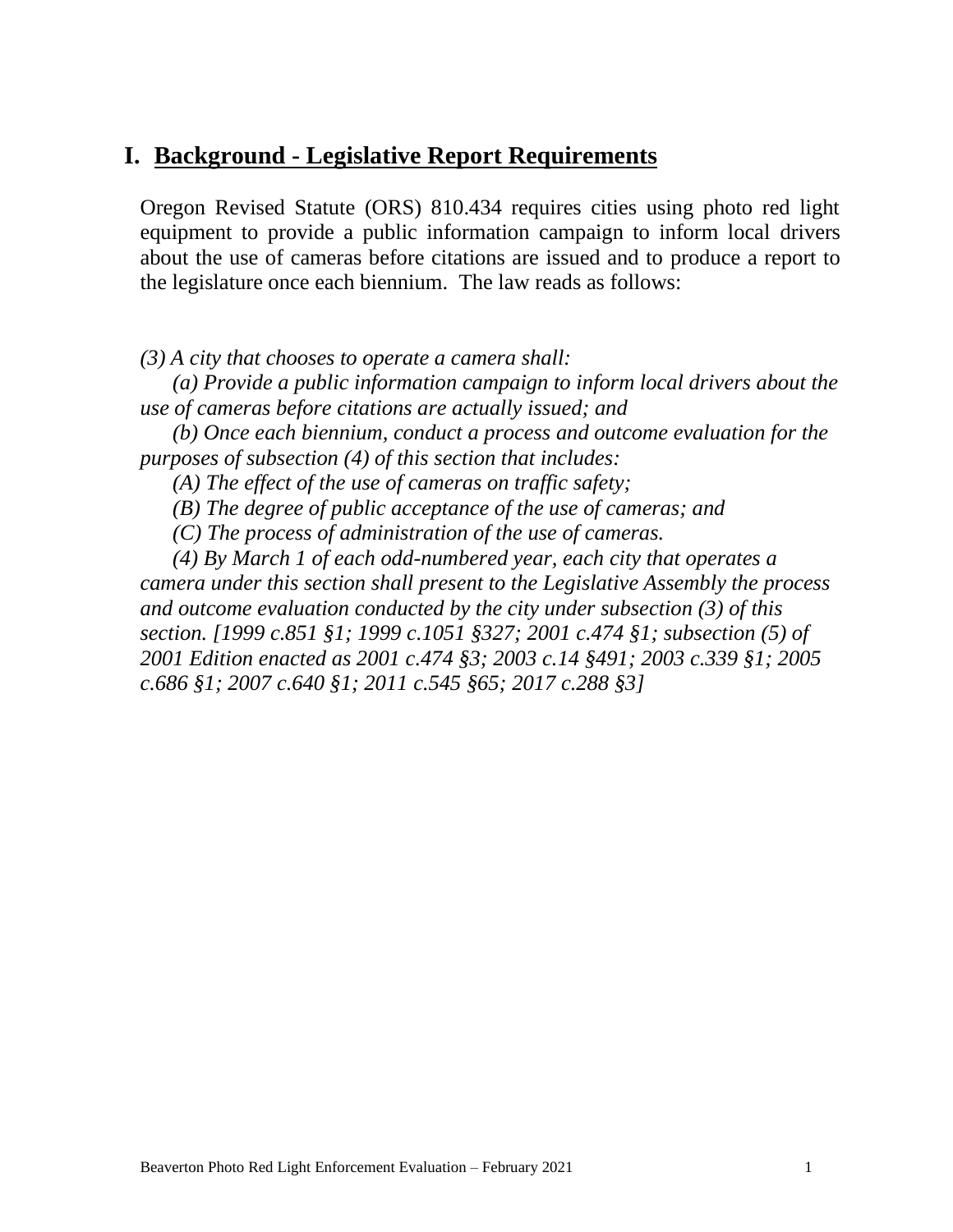#### **I. Background - Legislative Report Requirements**

Oregon Revised Statute (ORS) 810.434 requires cities using photo red light equipment to provide a public information campaign to inform local drivers about the use of cameras before citations are issued and to produce a report to the legislature once each biennium. The law reads as follows:

*(3) A city that chooses to operate a camera shall:*

 *(a) Provide a public information campaign to inform local drivers about the use of cameras before citations are actually issued; and*

 *(b) Once each biennium, conduct a process and outcome evaluation for the purposes of subsection (4) of this section that includes:*

 *(A) The effect of the use of cameras on traffic safety;*

 *(B) The degree of public acceptance of the use of cameras; and*

 *(C) The process of administration of the use of cameras.*

 *(4) By March 1 of each odd-numbered year, each city that operates a camera under this section shall present to the Legislative Assembly the process and outcome evaluation conducted by the city under subsection (3) of this section. [1999 c.851 §1; 1999 c.1051 §327; 2001 c.474 §1; subsection (5) of 2001 Edition enacted as 2001 c.474 §3; 2003 c.14 §491; 2003 c.339 §1; 2005 c.686 §1; 2007 c.640 §1; 2011 c.545 §65; 2017 c.288 §3]*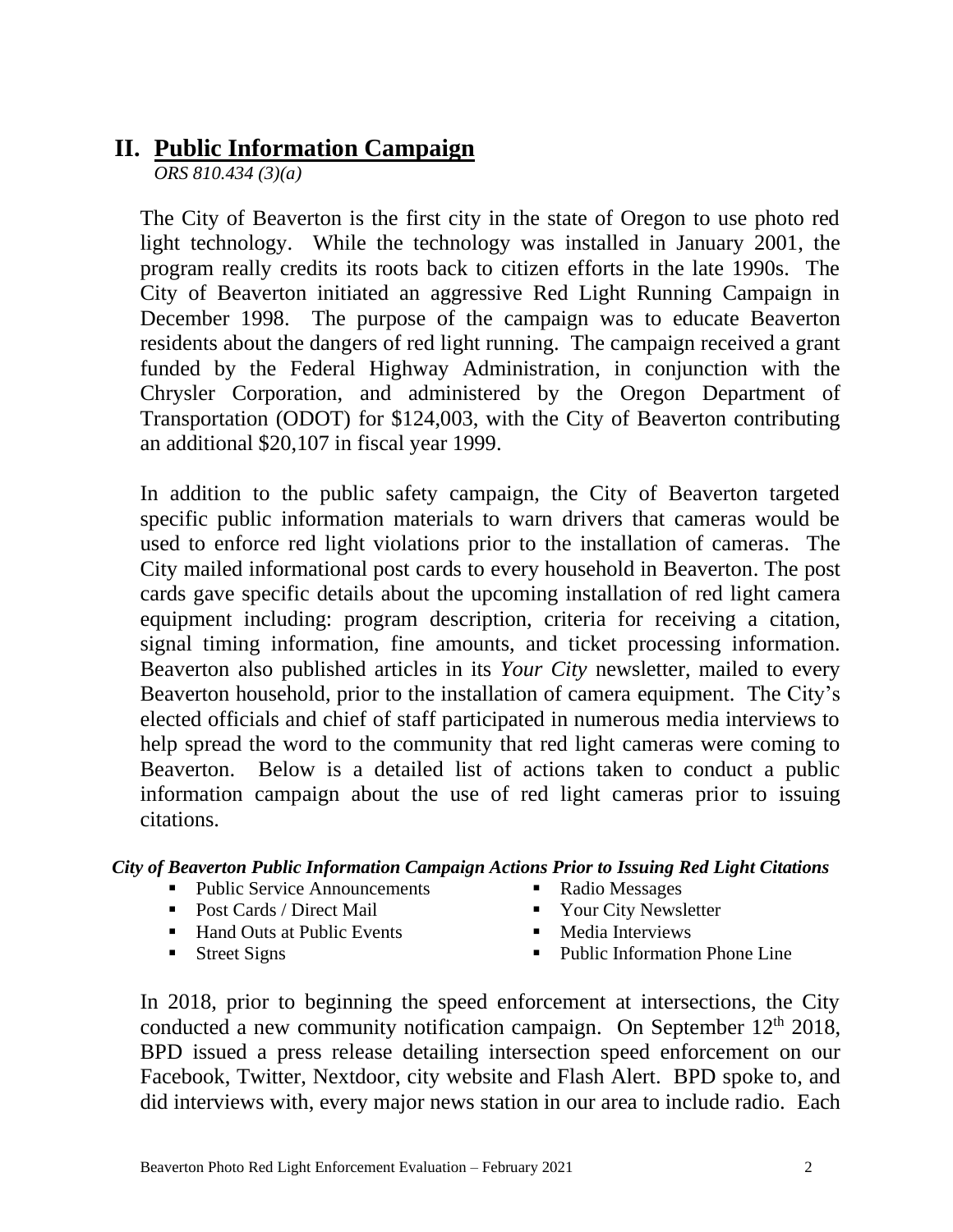#### **II. Public Information Campaign**

*ORS 810.434 (3)(a)*

The City of Beaverton is the first city in the state of Oregon to use photo red light technology. While the technology was installed in January 2001, the program really credits its roots back to citizen efforts in the late 1990s. The City of Beaverton initiated an aggressive Red Light Running Campaign in December 1998. The purpose of the campaign was to educate Beaverton residents about the dangers of red light running. The campaign received a grant funded by the Federal Highway Administration, in conjunction with the Chrysler Corporation, and administered by the Oregon Department of Transportation (ODOT) for \$124,003, with the City of Beaverton contributing an additional \$20,107 in fiscal year 1999.

In addition to the public safety campaign, the City of Beaverton targeted specific public information materials to warn drivers that cameras would be used to enforce red light violations prior to the installation of cameras. The City mailed informational post cards to every household in Beaverton. The post cards gave specific details about the upcoming installation of red light camera equipment including: program description, criteria for receiving a citation, signal timing information, fine amounts, and ticket processing information. Beaverton also published articles in its *Your City* newsletter, mailed to every Beaverton household, prior to the installation of camera equipment. The City's elected officials and chief of staff participated in numerous media interviews to help spread the word to the community that red light cameras were coming to Beaverton. Below is a detailed list of actions taken to conduct a public information campaign about the use of red light cameras prior to issuing citations.

*City of Beaverton Public Information Campaign Actions Prior to Issuing Red Light Citations*

- Public Service Announcements
- Post Cards / Direct Mail
- Hand Outs at Public Events
- Street Signs
- Radio Messages
- Your City Newsletter
- Media Interviews
- Public Information Phone Line

In 2018, prior to beginning the speed enforcement at intersections, the City conducted a new community notification campaign. On September  $12<sup>th</sup> 2018$ , BPD issued a press release detailing intersection speed enforcement on our Facebook, Twitter, Nextdoor, city website and Flash Alert. BPD spoke to, and did interviews with, every major news station in our area to include radio. Each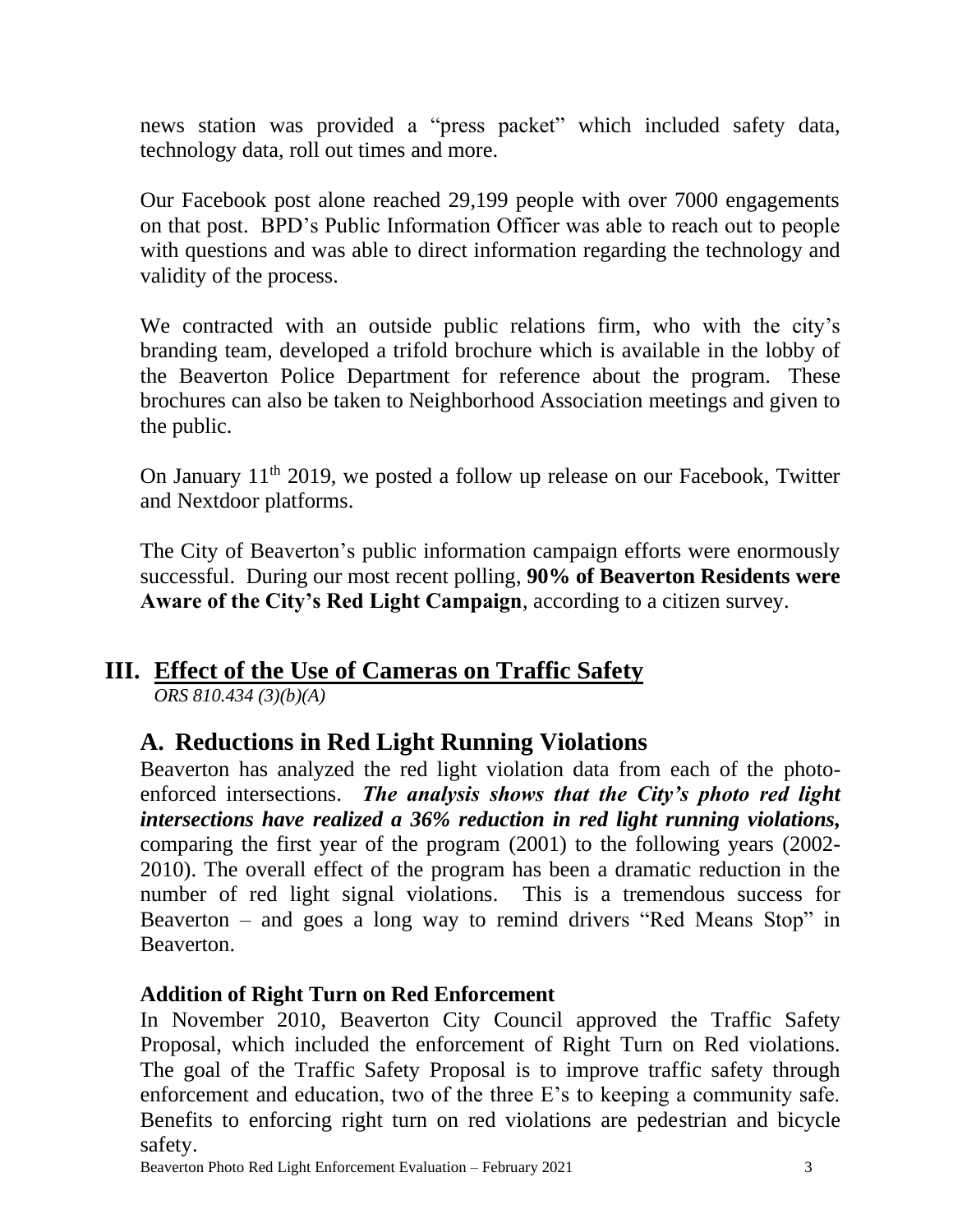news station was provided a "press packet" which included safety data, technology data, roll out times and more.

Our Facebook post alone reached 29,199 people with over 7000 engagements on that post. BPD's Public Information Officer was able to reach out to people with questions and was able to direct information regarding the technology and validity of the process.

We contracted with an outside public relations firm, who with the city's branding team, developed a trifold brochure which is available in the lobby of the Beaverton Police Department for reference about the program. These brochures can also be taken to Neighborhood Association meetings and given to the public.

On January 11<sup>th</sup> 2019, we posted a follow up release on our Facebook, Twitter and Nextdoor platforms.

The City of Beaverton's public information campaign efforts were enormously successful. During our most recent polling, **90% of Beaverton Residents were Aware of the City's Red Light Campaign**, according to a citizen survey.

#### **III. Effect of the Use of Cameras on Traffic Safety**

*ORS 810.434 (3)(b)(A)*

### **A. Reductions in Red Light Running Violations**

Beaverton has analyzed the red light violation data from each of the photoenforced intersections. *The analysis shows that the City's photo red light intersections have realized a 36% reduction in red light running violations,*  comparing the first year of the program (2001) to the following years (2002- 2010). The overall effect of the program has been a dramatic reduction in the number of red light signal violations. This is a tremendous success for Beaverton – and goes a long way to remind drivers "Red Means Stop" in Beaverton.

#### **Addition of Right Turn on Red Enforcement**

In November 2010, Beaverton City Council approved the Traffic Safety Proposal, which included the enforcement of Right Turn on Red violations. The goal of the Traffic Safety Proposal is to improve traffic safety through enforcement and education, two of the three E's to keeping a community safe. Benefits to enforcing right turn on red violations are pedestrian and bicycle safety.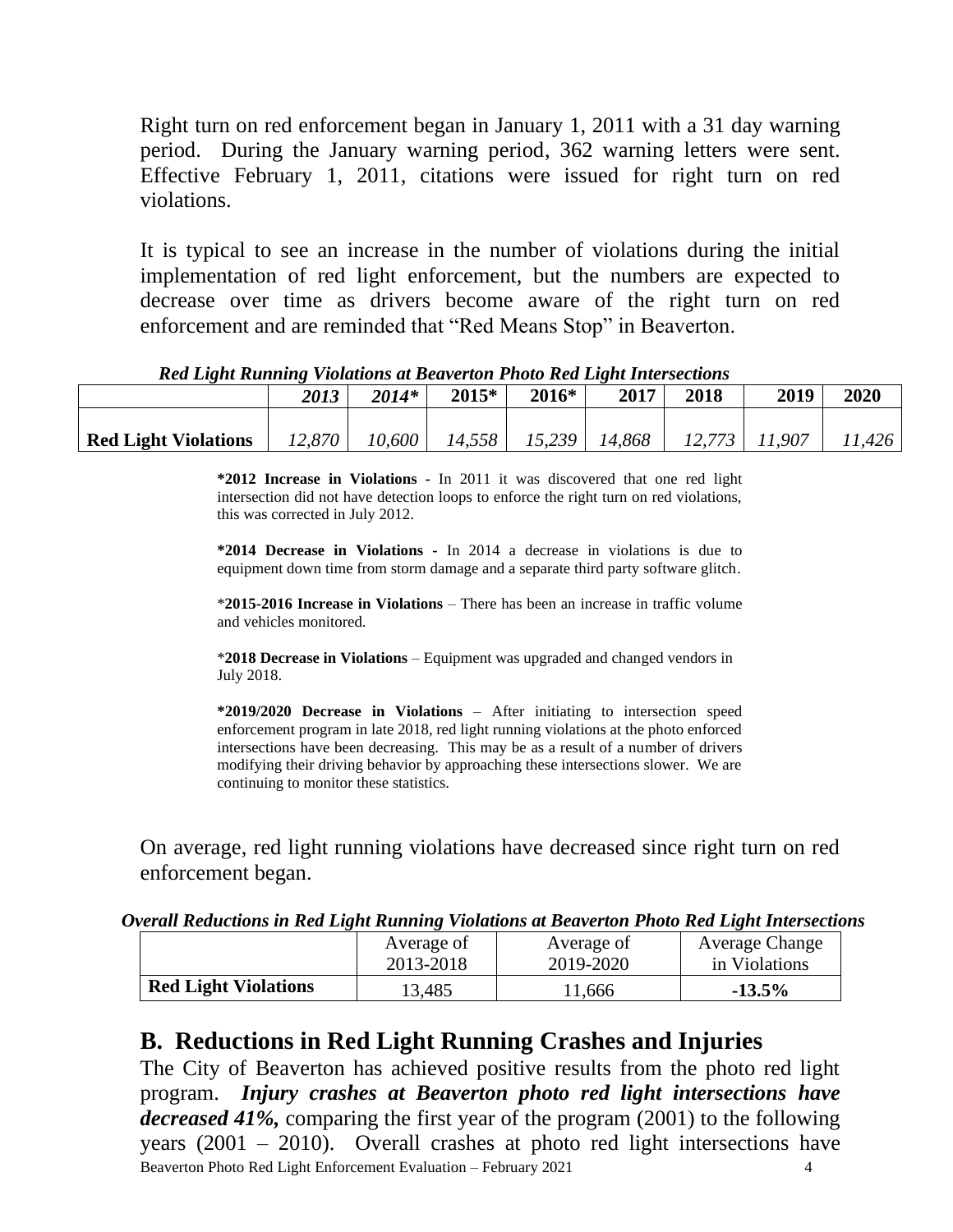Right turn on red enforcement began in January 1, 2011 with a 31 day warning period. During the January warning period, 362 warning letters were sent. Effective February 1, 2011, citations were issued for right turn on red violations.

It is typical to see an increase in the number of violations during the initial implementation of red light enforcement, but the numbers are expected to decrease over time as drivers become aware of the right turn on red enforcement and are reminded that "Red Means Stop" in Beaverton.

|                             | 2013   | $2014*$ | 2015*  | 2016*  | 2017   | 2018 | 2019   | 2020  |
|-----------------------------|--------|---------|--------|--------|--------|------|--------|-------|
|                             |        |         |        |        |        |      |        |       |
| <b>Red Light Violations</b> | 12,870 | 10,600  | 14,558 | 15,239 | 14,868 |      | 11,907 | 1,426 |

#### *Red Light Running Violations at Beaverton Photo Red Light Intersections*

**\*2012 Increase in Violations -** In 2011 it was discovered that one red light intersection did not have detection loops to enforce the right turn on red violations, this was corrected in July 2012.

**\*2014 Decrease in Violations -** In 2014 a decrease in violations is due to equipment down time from storm damage and a separate third party software glitch.

\***2015-2016 Increase in Violations** – There has been an increase in traffic volume and vehicles monitored.

\***2018 Decrease in Violations** – Equipment was upgraded and changed vendors in July 2018.

**\*2019/2020 Decrease in Violations** – After initiating to intersection speed enforcement program in late 2018, red light running violations at the photo enforced intersections have been decreasing. This may be as a result of a number of drivers modifying their driving behavior by approaching these intersections slower. We are continuing to monitor these statistics.

On average, red light running violations have decreased since right turn on red enforcement began.

|  | Overall Reductions in Red Light Running Violations at Beaverton Photo Red Light Intersections |  |
|--|-----------------------------------------------------------------------------------------------|--|
|  |                                                                                               |  |

|                             | Average of | Average of | <b>Average Change</b> |
|-----------------------------|------------|------------|-----------------------|
|                             | 2013-2018  | 2019-2020  | in Violations         |
| <b>Red Light Violations</b> | 13,485     | 11,666     | $-13.5%$              |

#### **B. Reductions in Red Light Running Crashes and Injuries**

Beaverton Photo Red Light Enforcement Evaluation – February 2021 4 The City of Beaverton has achieved positive results from the photo red light program. *Injury crashes at Beaverton photo red light intersections have decreased 41%,* comparing the first year of the program (2001) to the following years (2001 – 2010). Overall crashes at photo red light intersections have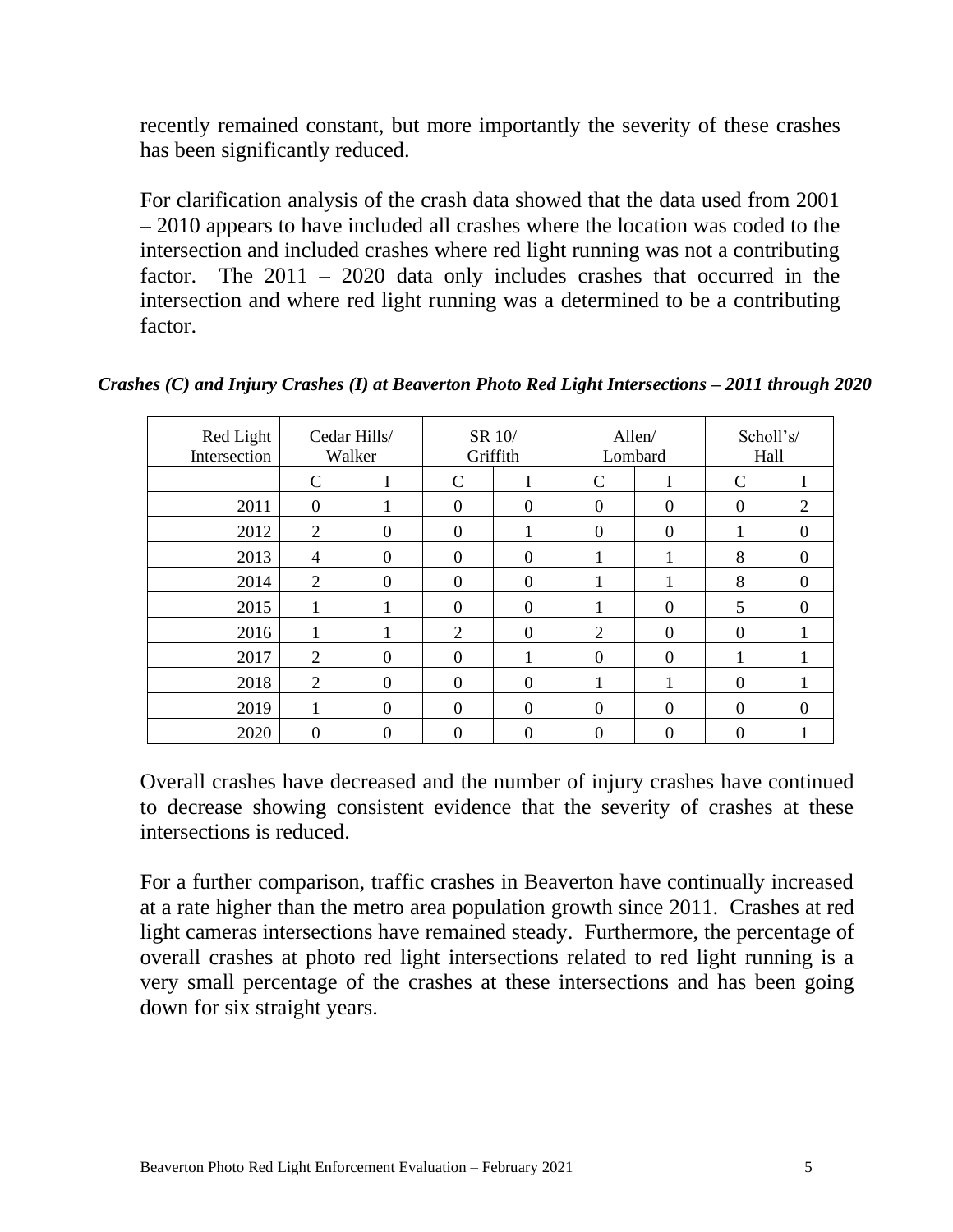recently remained constant, but more importantly the severity of these crashes has been significantly reduced.

For clarification analysis of the crash data showed that the data used from 2001 – 2010 appears to have included all crashes where the location was coded to the intersection and included crashes where red light running was not a contributing factor. The 2011 – 2020 data only includes crashes that occurred in the intersection and where red light running was a determined to be a contributing factor.

| Red Light<br>Intersection |                  | Cedar Hills/<br>Walker | SR 10/           | Griffith         |                | Allen/<br>Lombard | Scholl's/<br>Hall |          |
|---------------------------|------------------|------------------------|------------------|------------------|----------------|-------------------|-------------------|----------|
|                           | C                | 1.                     | $\mathbf C$      | $\mathbf{I}$     | $\mathsf{C}$   | I                 | $\mathcal{C}$     | л.       |
| 2011                      | $\boldsymbol{0}$ |                        | $\mathbf{0}$     | $\boldsymbol{0}$ | $\theta$       | $\theta$          | $\theta$          | 2        |
| 2012                      | $\overline{2}$   | $\Omega$               | $\theta$         |                  | $\theta$       | $\theta$          |                   | $\Omega$ |
| 2013                      | 4                | $\Omega$               | $\theta$         | $\theta$         |                |                   | 8                 | $\Omega$ |
| 2014                      | 2                | $\Omega$               | $\overline{0}$   | $\theta$         |                |                   | 8                 | $\theta$ |
| 2015                      |                  |                        | $\boldsymbol{0}$ | $\theta$         |                | $\theta$          | 5                 | $\theta$ |
| 2016                      |                  |                        | $\overline{2}$   | $\theta$         | $\overline{2}$ | $\overline{0}$    | $\theta$          |          |
| 2017                      | $\overline{2}$   | $\Omega$               | $\mathbf{0}$     |                  | $\overline{0}$ | $\overline{0}$    |                   |          |
| 2018                      | 2                | $\Omega$               | $\mathbf{0}$     | $\boldsymbol{0}$ | 1              | 1                 | $\theta$          |          |
| 2019                      | 1                | $\theta$               | $\mathbf{0}$     | $\boldsymbol{0}$ | $\theta$       | $\overline{0}$    | $\theta$          | $\theta$ |
| 2020                      | 0                | $\Omega$               | $\boldsymbol{0}$ | $\overline{0}$   | $\overline{0}$ | $\theta$          | $\overline{0}$    |          |

*Crashes (C) and Injury Crashes (I) at Beaverton Photo Red Light Intersections – 2011 through 2020*

Overall crashes have decreased and the number of injury crashes have continued to decrease showing consistent evidence that the severity of crashes at these intersections is reduced.

For a further comparison, traffic crashes in Beaverton have continually increased at a rate higher than the metro area population growth since 2011. Crashes at red light cameras intersections have remained steady. Furthermore, the percentage of overall crashes at photo red light intersections related to red light running is a very small percentage of the crashes at these intersections and has been going down for six straight years.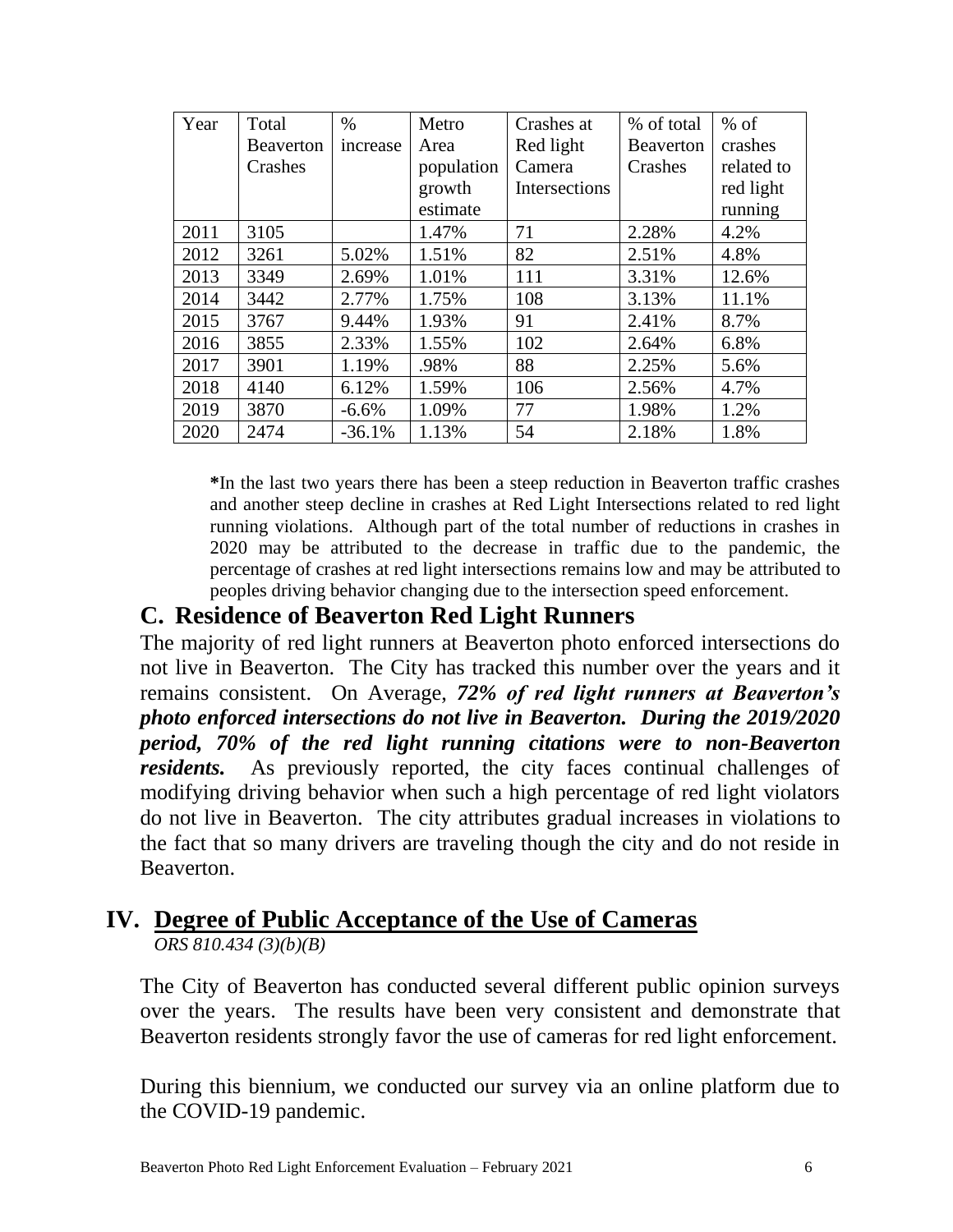| Year | Total            | $\%$     | Metro      | Crashes at    | % of total       | $%$ of     |
|------|------------------|----------|------------|---------------|------------------|------------|
|      | <b>Beaverton</b> | increase | Area       | Red light     | <b>Beaverton</b> | crashes    |
|      | Crashes          |          | population | Camera        | Crashes          | related to |
|      |                  |          | growth     | Intersections |                  | red light  |
|      |                  |          | estimate   |               |                  | running    |
| 2011 | 3105             |          | 1.47%      | 71            | 2.28%            | 4.2%       |
| 2012 | 3261             | 5.02%    | 1.51%      | 82            | 2.51%            | 4.8%       |
| 2013 | 3349             | 2.69%    | 1.01%      | 111           | 3.31%            | 12.6%      |
| 2014 | 3442             | 2.77%    | 1.75%      | 108           | 3.13%            | 11.1%      |
| 2015 | 3767             | 9.44%    | 1.93%      | 91            | 2.41%            | 8.7%       |
| 2016 | 3855             | 2.33%    | 1.55%      | 102           | 2.64%            | 6.8%       |
| 2017 | 3901             | 1.19%    | .98%       | 88            | 2.25%            | 5.6%       |
| 2018 | 4140             | 6.12%    | 1.59%      | 106           | 2.56%            | 4.7%       |
| 2019 | 3870             | $-6.6%$  | 1.09%      | 77            | 1.98%            | 1.2%       |
| 2020 | 2474             | $-36.1%$ | 1.13%      | 54            | 2.18%            | 1.8%       |

**\***In the last two years there has been a steep reduction in Beaverton traffic crashes and another steep decline in crashes at Red Light Intersections related to red light running violations. Although part of the total number of reductions in crashes in 2020 may be attributed to the decrease in traffic due to the pandemic, the percentage of crashes at red light intersections remains low and may be attributed to peoples driving behavior changing due to the intersection speed enforcement.

#### **C. Residence of Beaverton Red Light Runners**

The majority of red light runners at Beaverton photo enforced intersections do not live in Beaverton. The City has tracked this number over the years and it remains consistent. On Average, *72% of red light runners at Beaverton's photo enforced intersections do not live in Beaverton.**During the 2019/2020 period, 70% of the red light running citations were to non-Beaverton residents.*As previously reported, the city faces continual challenges of modifying driving behavior when such a high percentage of red light violators do not live in Beaverton. The city attributes gradual increases in violations to the fact that so many drivers are traveling though the city and do not reside in Beaverton.

### **IV. Degree of Public Acceptance of the Use of Cameras**

*ORS 810.434 (3)(b)(B)*

The City of Beaverton has conducted several different public opinion surveys over the years. The results have been very consistent and demonstrate that Beaverton residents strongly favor the use of cameras for red light enforcement.

During this biennium, we conducted our survey via an online platform due to the COVID-19 pandemic.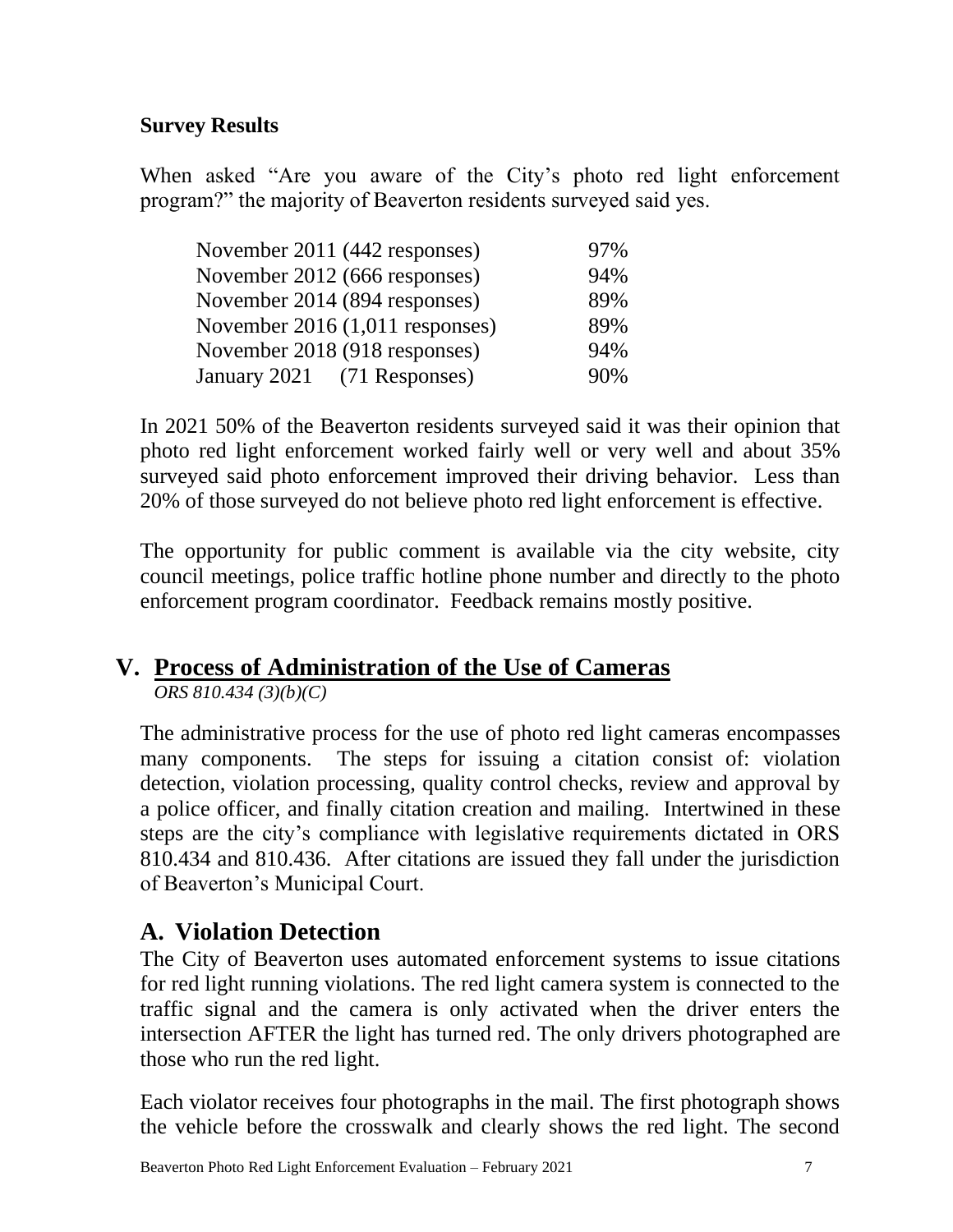#### **Survey Results**

When asked "Are you aware of the City's photo red light enforcement program?" the majority of Beaverton residents surveyed said yes.

| November 2011 (442 responses)   | 97% |
|---------------------------------|-----|
| November 2012 (666 responses)   | 94% |
| November 2014 (894 responses)   | 89% |
| November 2016 (1,011 responses) | 89% |
| November 2018 (918 responses)   | 94% |
| January 2021 (71 Responses)     | 90% |

In 2021 50% of the Beaverton residents surveyed said it was their opinion that photo red light enforcement worked fairly well or very well and about 35% surveyed said photo enforcement improved their driving behavior. Less than 20% of those surveyed do not believe photo red light enforcement is effective.

The opportunity for public comment is available via the city website, city council meetings, police traffic hotline phone number and directly to the photo enforcement program coordinator. Feedback remains mostly positive.

### **V. Process of Administration of the Use of Cameras**

*ORS 810.434 (3)(b)(C)*

The administrative process for the use of photo red light cameras encompasses many components. The steps for issuing a citation consist of: violation detection, violation processing, quality control checks, review and approval by a police officer, and finally citation creation and mailing. Intertwined in these steps are the city's compliance with legislative requirements dictated in ORS 810.434 and 810.436. After citations are issued they fall under the jurisdiction of Beaverton's Municipal Court.

### **A. Violation Detection**

The City of Beaverton uses automated enforcement systems to issue citations for red light running violations. The red light camera system is connected to the traffic signal and the camera is only activated when the driver enters the intersection AFTER the light has turned red. The only drivers photographed are those who run the red light.

Each violator receives four photographs in the mail. The first photograph shows the vehicle before the crosswalk and clearly shows the red light. The second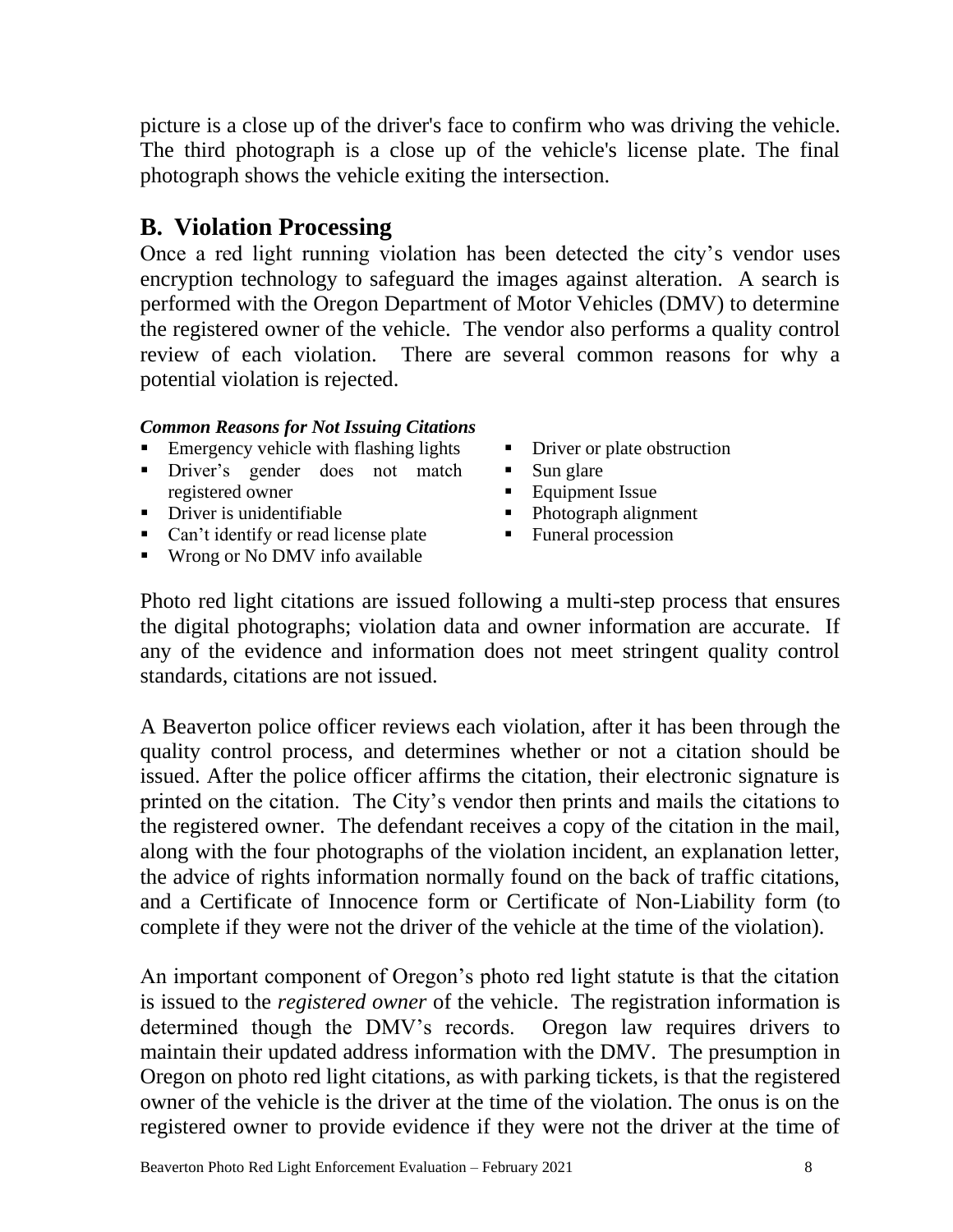picture is a close up of the driver's face to confirm who was driving the vehicle. The third photograph is a close up of the vehicle's license plate. The final photograph shows the vehicle exiting the intersection.

#### **B. Violation Processing**

Once a red light running violation has been detected the city's vendor uses encryption technology to safeguard the images against alteration. A search is performed with the Oregon Department of Motor Vehicles (DMV) to determine the registered owner of the vehicle. The vendor also performs a quality control review of each violation. There are several common reasons for why a potential violation is rejected.

#### *Common Reasons for Not Issuing Citations*

- **EXECUTE:** Emergency vehicle with flashing lights
- **•** Driver's gender does not match registered owner
- **•** Driver is unidentifiable
- Can't identify or read license plate
- Wrong or No DMV info available
- **•** Driver or plate obstruction
- Sun glare
- Equipment Issue
- Photograph alignment
- Funeral procession

Photo red light citations are issued following a multi-step process that ensures the digital photographs; violation data and owner information are accurate. If any of the evidence and information does not meet stringent quality control standards, citations are not issued.

A Beaverton police officer reviews each violation, after it has been through the quality control process, and determines whether or not a citation should be issued. After the police officer affirms the citation, their electronic signature is printed on the citation. The City's vendor then prints and mails the citations to the registered owner. The defendant receives a copy of the citation in the mail, along with the four photographs of the violation incident, an explanation letter, the advice of rights information normally found on the back of traffic citations, and a Certificate of Innocence form or Certificate of Non-Liability form (to complete if they were not the driver of the vehicle at the time of the violation).

An important component of Oregon's photo red light statute is that the citation is issued to the *registered owner* of the vehicle. The registration information is determined though the DMV's records. Oregon law requires drivers to maintain their updated address information with the DMV. The presumption in Oregon on photo red light citations, as with parking tickets, is that the registered owner of the vehicle is the driver at the time of the violation. The onus is on the registered owner to provide evidence if they were not the driver at the time of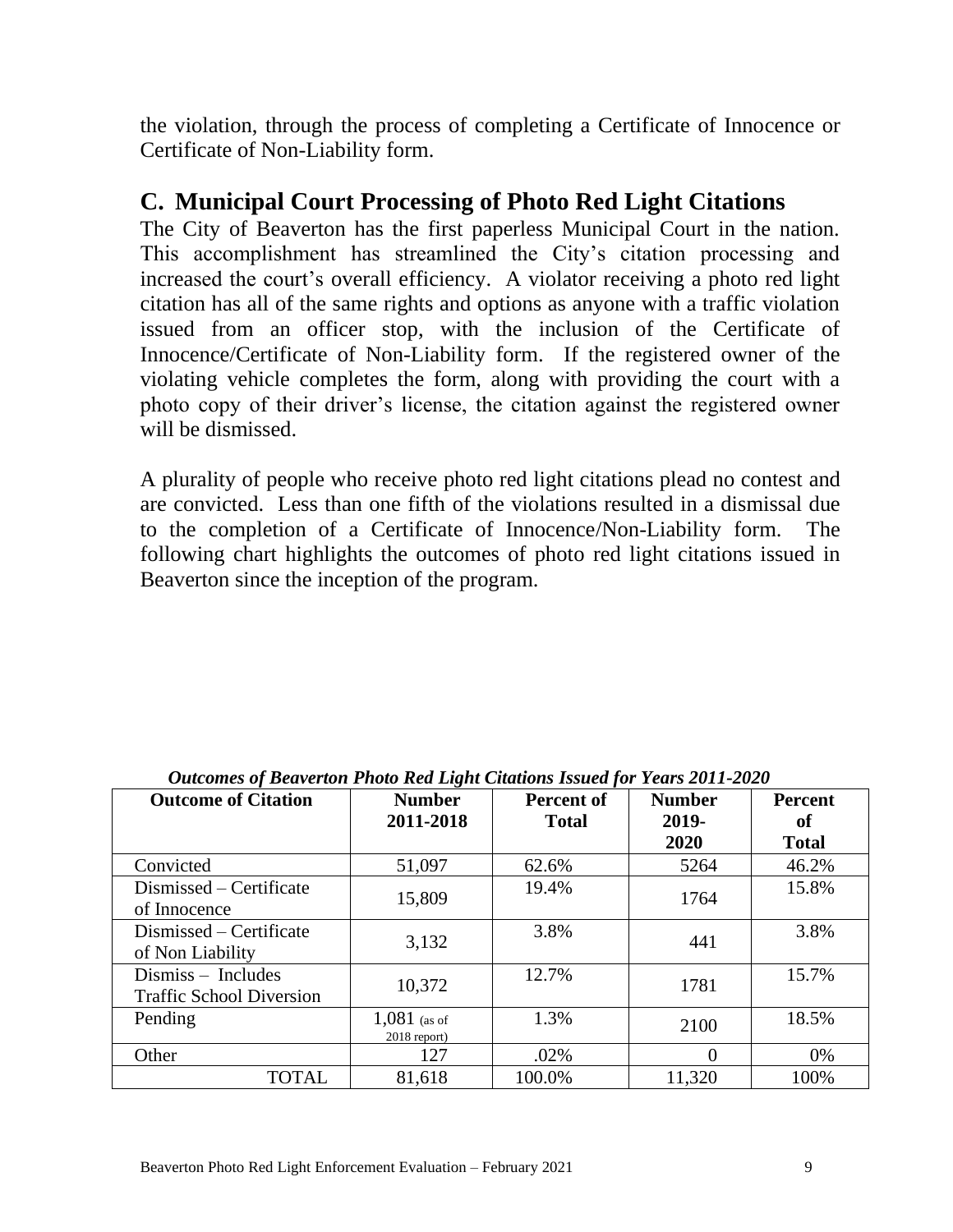the violation, through the process of completing a Certificate of Innocence or Certificate of Non-Liability form.

#### **C. Municipal Court Processing of Photo Red Light Citations**

The City of Beaverton has the first paperless Municipal Court in the nation. This accomplishment has streamlined the City's citation processing and increased the court's overall efficiency. A violator receiving a photo red light citation has all of the same rights and options as anyone with a traffic violation issued from an officer stop, with the inclusion of the Certificate of Innocence/Certificate of Non-Liability form. If the registered owner of the violating vehicle completes the form, along with providing the court with a photo copy of their driver's license, the citation against the registered owner will be dismissed.

A plurality of people who receive photo red light citations plead no contest and are convicted. Less than one fifth of the violations resulted in a dismissal due to the completion of a Certificate of Innocence/Non-Liability form. The following chart highlights the outcomes of photo red light citations issued in Beaverton since the inception of the program.

| <b>Outcome of Citation</b>                            | <b>Number</b><br>2011-2018     | <b>Percent of</b><br><b>Total</b> | <b>Number</b><br>2019-<br>2020 | Percent<br>of<br><b>Total</b> |
|-------------------------------------------------------|--------------------------------|-----------------------------------|--------------------------------|-------------------------------|
| Convicted                                             | 51,097                         | 62.6%                             | 5264                           | 46.2%                         |
| Dismissed – Certificate<br>of Innocence               | 15,809                         | 19.4%                             | 1764                           | 15.8%                         |
| Dismissed – Certificate<br>of Non Liability           | 3,132                          | 3.8%                              | 441                            | 3.8%                          |
| Dismiss - Includes<br><b>Traffic School Diversion</b> | 10,372                         | 12.7%                             | 1781                           | 15.7%                         |
| Pending                                               | $1,081$ (as of<br>2018 report) | 1.3%                              | 2100                           | 18.5%                         |
| Other                                                 | 127                            | .02%                              | 0                              | 0%                            |
| <b>TOTAL</b>                                          | 81,618                         | 100.0%                            | 11,320                         | 100%                          |

*Outcomes of Beaverton Photo Red Light Citations Issued for Years 2011-2020*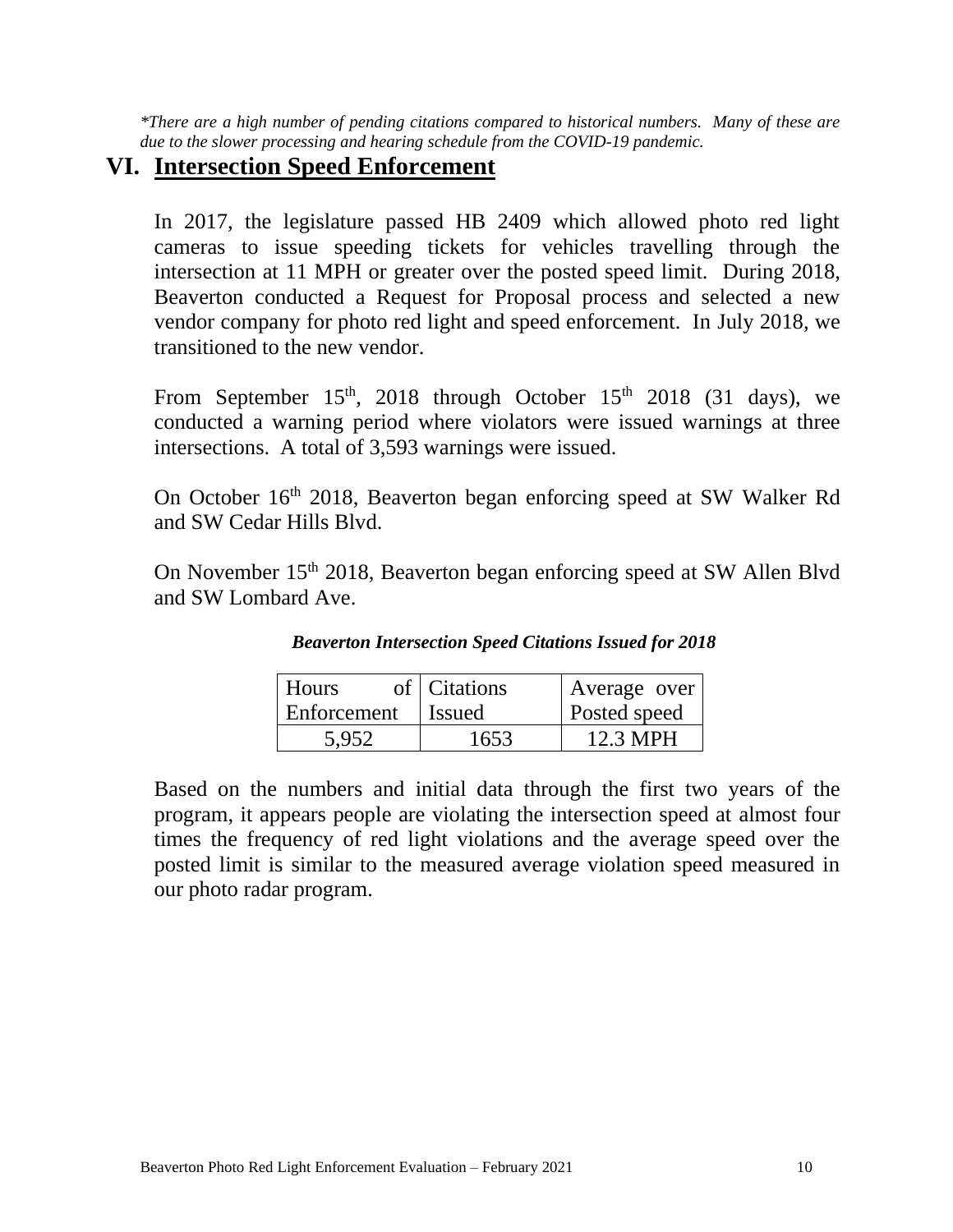*\*There are a high number of pending citations compared to historical numbers. Many of these are due to the slower processing and hearing schedule from the COVID-19 pandemic.*

#### **VI. Intersection Speed Enforcement**

In 2017, the legislature passed HB 2409 which allowed photo red light cameras to issue speeding tickets for vehicles travelling through the intersection at 11 MPH or greater over the posted speed limit. During 2018, Beaverton conducted a Request for Proposal process and selected a new vendor company for photo red light and speed enforcement. In July 2018, we transitioned to the new vendor.

From September  $15<sup>th</sup>$ , 2018 through October  $15<sup>th</sup>$  2018 (31 days), we conducted a warning period where violators were issued warnings at three intersections. A total of 3,593 warnings were issued.

On October 16<sup>th</sup> 2018, Beaverton began enforcing speed at SW Walker Rd and SW Cedar Hills Blvd.

On November 15<sup>th</sup> 2018, Beaverton began enforcing speed at SW Allen Blvd and SW Lombard Ave.

| <b>Beaverton Intersection Speed Citations Issued for 2018</b> |  |
|---------------------------------------------------------------|--|
|---------------------------------------------------------------|--|

| <b>Hours</b> | of   Citations | Average over |
|--------------|----------------|--------------|
| Enforcement  | l Issued       | Posted speed |
| 5.952        | 1653           | 12.3 MPH     |

Based on the numbers and initial data through the first two years of the program, it appears people are violating the intersection speed at almost four times the frequency of red light violations and the average speed over the posted limit is similar to the measured average violation speed measured in our photo radar program.